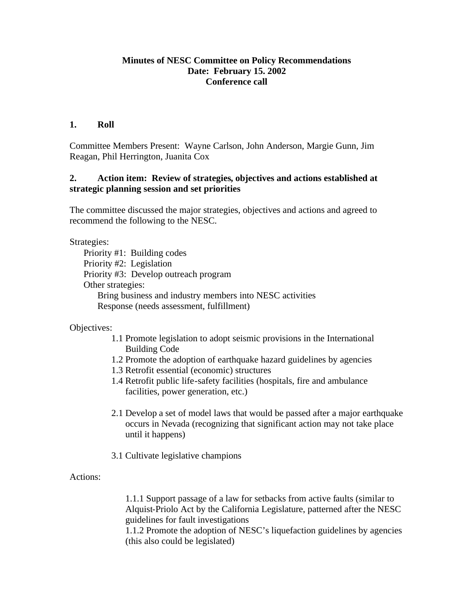### **Minutes of NESC Committee on Policy Recommendations Date: February 15. 2002 Conference call**

### **1. Roll**

Committee Members Present: Wayne Carlson, John Anderson, Margie Gunn, Jim Reagan, Phil Herrington, Juanita Cox

## **2. Action item: Review of strategies, objectives and actions established at strategic planning session and set priorities**

The committee discussed the major strategies, objectives and actions and agreed to recommend the following to the NESC.

Strategies:

Priority #1: Building codes Priority #2: Legislation Priority #3: Develop outreach program Other strategies: Bring business and industry members into NESC activities Response (needs assessment, fulfillment)

Objectives:

- 1.1 Promote legislation to adopt seismic provisions in the International Building Code
- 1.2 Promote the adoption of earthquake hazard guidelines by agencies
- 1.3 Retrofit essential (economic) structures
- 1.4 Retrofit public life-safety facilities (hospitals, fire and ambulance facilities, power generation, etc.)
- 2.1 Develop a set of model laws that would be passed after a major earthquake occurs in Nevada (recognizing that significant action may not take place until it happens)
- 3.1 Cultivate legislative champions

Actions:

1.1.1 Support passage of a law for setbacks from active faults (similar to Alquist-Priolo Act by the California Legislature, patterned after the NESC guidelines for fault investigations

1.1.2 Promote the adoption of NESC's liquefaction guidelines by agencies (this also could be legislated)